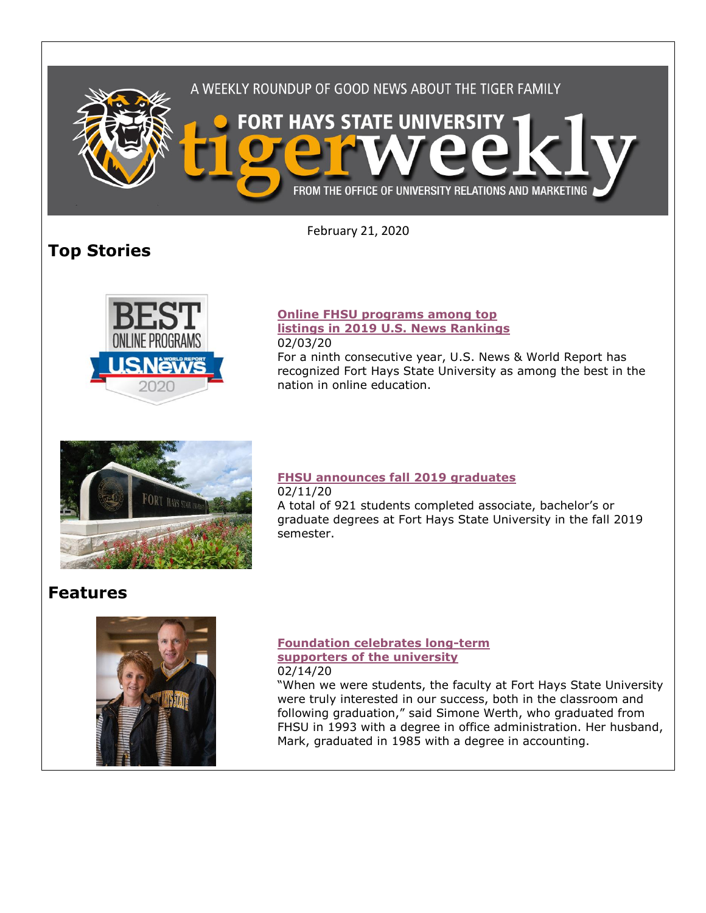

February 21, 2020

# **Top Stories**



#### **[Online FHSU programs among top](https://www.fhsu.edu/news/2020/02/online-fhsu-programs-among-top-listings-in-2019-u.s.-news-rankings)  [listings in 2019 U.S. News Rankings](https://www.fhsu.edu/news/2020/02/online-fhsu-programs-among-top-listings-in-2019-u.s.-news-rankings)** 02/03/20

For a ninth consecutive year, U.S. News & World Report has recognized Fort Hays State University as among the best in the nation in online education.



#### **[FHSU announces fall 2019 graduates](https://www.fhsu.edu/news/2020/02/fort-hays-state-university-announces-fall-2019-graduates)** 02/11/20

A total of 921 students completed associate, bachelor's or graduate degrees at Fort Hays State University in the fall 2019 semester.

## **Features**



#### **[Foundation celebrates long-term](https://www.fhsu.edu/news/2020/02/fhsu-foundation-celebrates-long-term-supporters-of-the-university)  [supporters of the university](https://www.fhsu.edu/news/2020/02/fhsu-foundation-celebrates-long-term-supporters-of-the-university)** 02/14/20

"When we were students, the faculty at Fort Hays State University were truly interested in our success, both in the classroom and following graduation," said Simone Werth, who graduated from FHSU in 1993 with a degree in office administration. Her husband, Mark, graduated in 1985 with a degree in accounting.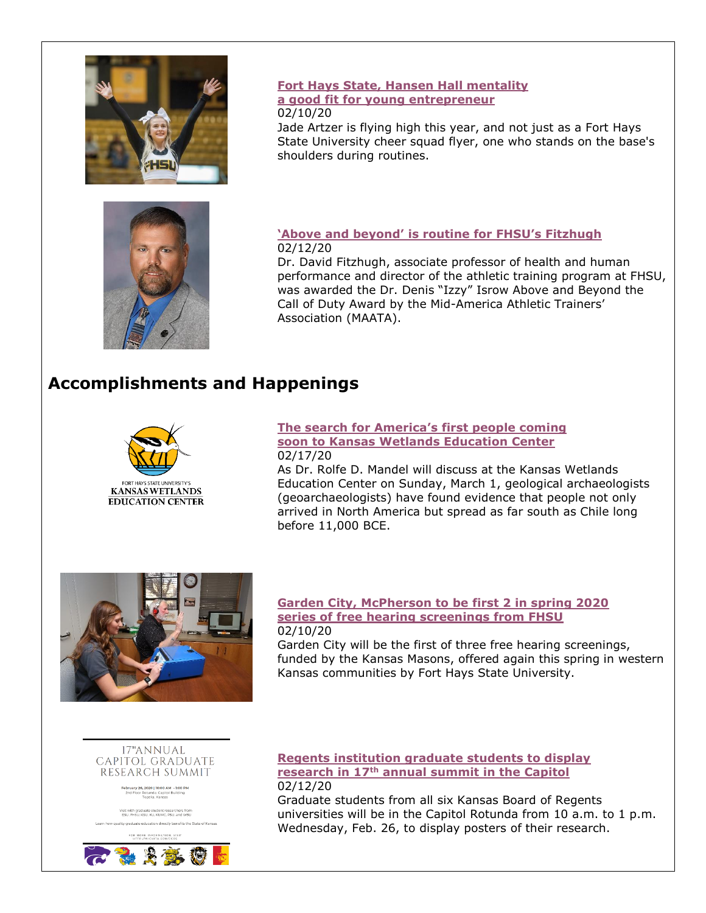

#### **[Fort Hays State, Hansen Hall mentality](https://www.fhsu.edu/news/2020/02/fort-hays-state,-hansen-hall-mentality-a-good-fit-for-young-entrepreneur)  [a good fit for young entrepreneur](https://www.fhsu.edu/news/2020/02/fort-hays-state,-hansen-hall-mentality-a-good-fit-for-young-entrepreneur)** 02/10/20

Jade Artzer is flying high this year, and not just as a Fort Hays State University cheer squad flyer, one who stands on the base's shoulders during routines.



### **['Above and beyond' is routine for FHSU's Fitzhugh](https://www.fhsu.edu/news/2020/02/above-and-beyond-is-routine-for-fort-hays-states-fitzhugh)** 02/12/20

Dr. David Fitzhugh, associate professor of health and human performance and director of the athletic training program at FHSU, was awarded the Dr. Denis "Izzy" Isrow Above and Beyond the Call of Duty Award by the Mid-America Athletic Trainers' Association (MAATA).

## **Accomplishments and Happenings**



#### **[The search for America's first people coming](https://www.fhsu.edu/news/2020/02/the-search-for-americas-first-people-coming-soon-to-kansas-wetlands-education-center)  [soon to Kansas Wetlands Education Center](https://www.fhsu.edu/news/2020/02/the-search-for-americas-first-people-coming-soon-to-kansas-wetlands-education-center)** 02/17/20

As Dr. Rolfe D. Mandel will discuss at the Kansas Wetlands Education Center on Sunday, March 1, geological archaeologists (geoarchaeologists) have found evidence that people not only arrived in North America but spread as far south as Chile long before 11,000 BCE.



#### **[Garden City, McPherson to be first 2 in spring 2020](https://www.fhsu.edu/news/2020/02/garden-city,-mcpherson-to-be-first-2-in-spring-2020-series-of-free-hearing-screenings-from-fhsu)  [series of free hearing screenings from FHSU](https://www.fhsu.edu/news/2020/02/garden-city,-mcpherson-to-be-first-2-in-spring-2020-series-of-free-hearing-screenings-from-fhsu)** 02/10/20

Garden City will be the first of three free hearing screenings, funded by the Kansas Masons, offered again this spring in western Kansas communities by Fort Hays State University.



bruary 26, 2020 | 10:00 AM - 1:00<br>2nd Floor Rotunda, Capitol Building<br>Topeka, Kansas

aduate education directly benefits the State of Kans



#### **[Regents institution graduate students to display](https://www.fhsu.edu/news/2020/02/regents-institution-graduate-students-to-display-research-in-17th-annual-summit-in-the-capitol)  research in 17th [annual summit in the Capitol](https://www.fhsu.edu/news/2020/02/regents-institution-graduate-students-to-display-research-in-17th-annual-summit-in-the-capitol)** 02/12/20

Graduate students from all six Kansas Board of Regents universities will be in the Capitol Rotunda from 10 a.m. to 1 p.m. Wednesday, Feb. 26, to display posters of their research.